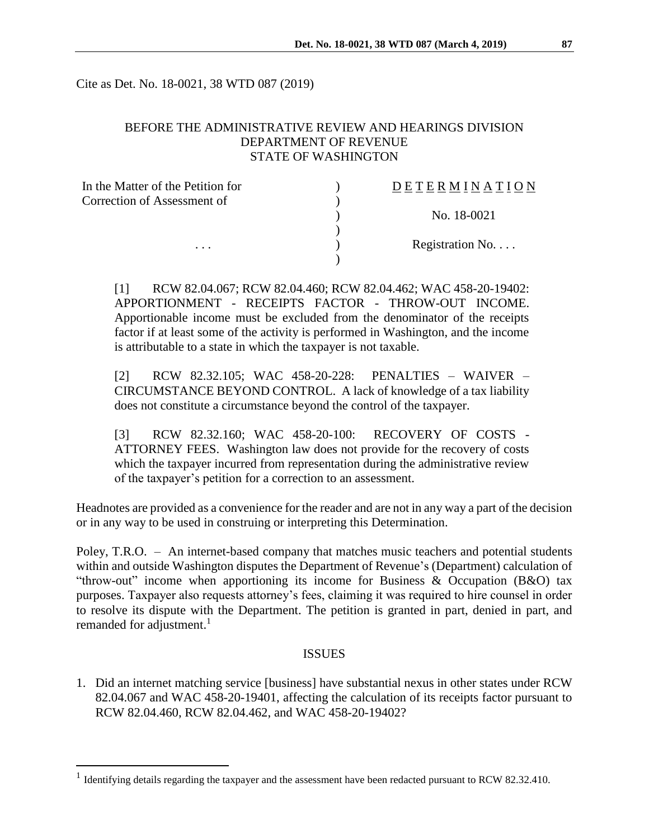Cite as Det. No. 18-0021, 38 WTD 087 (2019)

# BEFORE THE ADMINISTRATIVE REVIEW AND HEARINGS DIVISION DEPARTMENT OF REVENUE STATE OF WASHINGTON

| In the Matter of the Petition for | DETERMINATION   |
|-----------------------------------|-----------------|
| Correction of Assessment of       |                 |
|                                   | No. 18-0021     |
|                                   |                 |
| $\cdots$                          | Registration No |
|                                   |                 |

[1] RCW 82.04.067; RCW 82.04.460; RCW 82.04.462; WAC 458-20-19402: APPORTIONMENT - RECEIPTS FACTOR - THROW-OUT INCOME. Apportionable income must be excluded from the denominator of the receipts factor if at least some of the activity is performed in Washington, and the income is attributable to a state in which the taxpayer is not taxable.

[2] RCW 82.32.105; WAC 458-20-228: PENALTIES – WAIVER – CIRCUMSTANCE BEYOND CONTROL. A lack of knowledge of a tax liability does not constitute a circumstance beyond the control of the taxpayer.

[3] RCW 82.32.160; WAC 458-20-100: RECOVERY OF COSTS - ATTORNEY FEES. Washington law does not provide for the recovery of costs which the taxpayer incurred from representation during the administrative review of the taxpayer's petition for a correction to an assessment.

Headnotes are provided as a convenience for the reader and are not in any way a part of the decision or in any way to be used in construing or interpreting this Determination.

Poley, T.R.O. – An internet-based company that matches music teachers and potential students within and outside Washington disputes the Department of Revenue's (Department) calculation of "throw-out" income when apportioning its income for Business & Occupation (B&O) tax purposes. Taxpayer also requests attorney's fees, claiming it was required to hire counsel in order to resolve its dispute with the Department. The petition is granted in part, denied in part, and remanded for adjustment.<sup>1</sup>

### **ISSUES**

1. Did an internet matching service [business] have substantial nexus in other states under RCW 82.04.067 and WAC 458-20-19401, affecting the calculation of its receipts factor pursuant to RCW 82.04.460, RCW 82.04.462, and WAC 458-20-19402?

 $\overline{a}$ 

<sup>&</sup>lt;sup>1</sup> Identifying details regarding the taxpayer and the assessment have been redacted pursuant to RCW 82.32.410.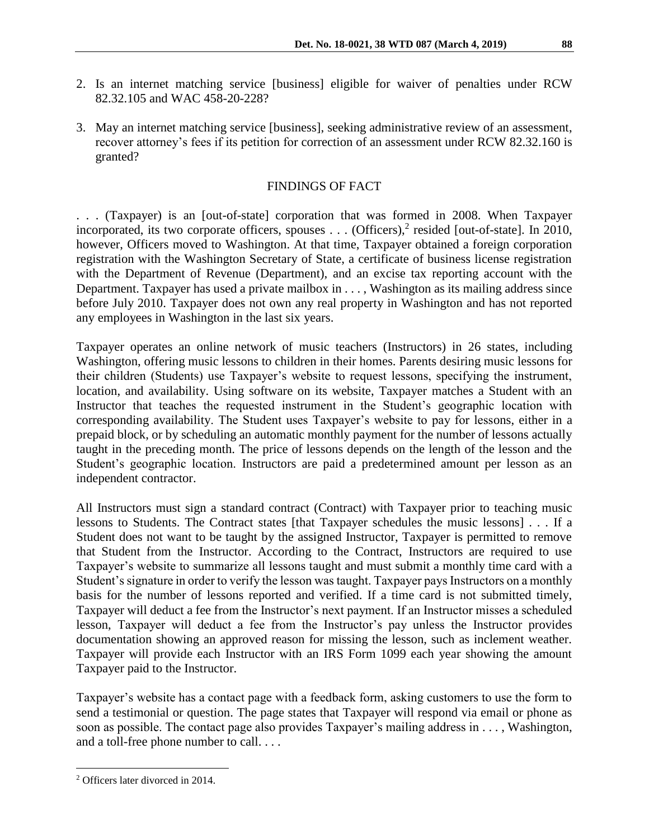- 2. Is an internet matching service [business] eligible for waiver of penalties under RCW 82.32.105 and WAC 458-20-228?
- 3. May an internet matching service [business], seeking administrative review of an assessment, recover attorney's fees if its petition for correction of an assessment under RCW 82.32.160 is granted?

## FINDINGS OF FACT

. . . (Taxpayer) is an [out-of-state] corporation that was formed in 2008. When Taxpayer incorporated, its two corporate officers, spouses  $\ldots$  (Officers),<sup>2</sup> resided [out-of-state]. In 2010, however, Officers moved to Washington. At that time, Taxpayer obtained a foreign corporation registration with the Washington Secretary of State, a certificate of business license registration with the Department of Revenue (Department), and an excise tax reporting account with the Department. Taxpayer has used a private mailbox in . . . , Washington as its mailing address since before July 2010. Taxpayer does not own any real property in Washington and has not reported any employees in Washington in the last six years.

Taxpayer operates an online network of music teachers (Instructors) in 26 states, including Washington, offering music lessons to children in their homes. Parents desiring music lessons for their children (Students) use Taxpayer's website to request lessons, specifying the instrument, location, and availability. Using software on its website, Taxpayer matches a Student with an Instructor that teaches the requested instrument in the Student's geographic location with corresponding availability. The Student uses Taxpayer's website to pay for lessons, either in a prepaid block, or by scheduling an automatic monthly payment for the number of lessons actually taught in the preceding month. The price of lessons depends on the length of the lesson and the Student's geographic location. Instructors are paid a predetermined amount per lesson as an independent contractor.

All Instructors must sign a standard contract (Contract) with Taxpayer prior to teaching music lessons to Students. The Contract states [that Taxpayer schedules the music lessons] . . . If a Student does not want to be taught by the assigned Instructor, Taxpayer is permitted to remove that Student from the Instructor. According to the Contract, Instructors are required to use Taxpayer's website to summarize all lessons taught and must submit a monthly time card with a Student's signature in order to verify the lesson was taught. Taxpayer pays Instructors on a monthly basis for the number of lessons reported and verified. If a time card is not submitted timely, Taxpayer will deduct a fee from the Instructor's next payment. If an Instructor misses a scheduled lesson, Taxpayer will deduct a fee from the Instructor's pay unless the Instructor provides documentation showing an approved reason for missing the lesson, such as inclement weather. Taxpayer will provide each Instructor with an IRS Form 1099 each year showing the amount Taxpayer paid to the Instructor.

Taxpayer's website has a contact page with a feedback form, asking customers to use the form to send a testimonial or question. The page states that Taxpayer will respond via email or phone as soon as possible. The contact page also provides Taxpayer's mailing address in . . . , Washington, and a toll-free phone number to call. . . .

 $\overline{a}$ 

<sup>2</sup> Officers later divorced in 2014.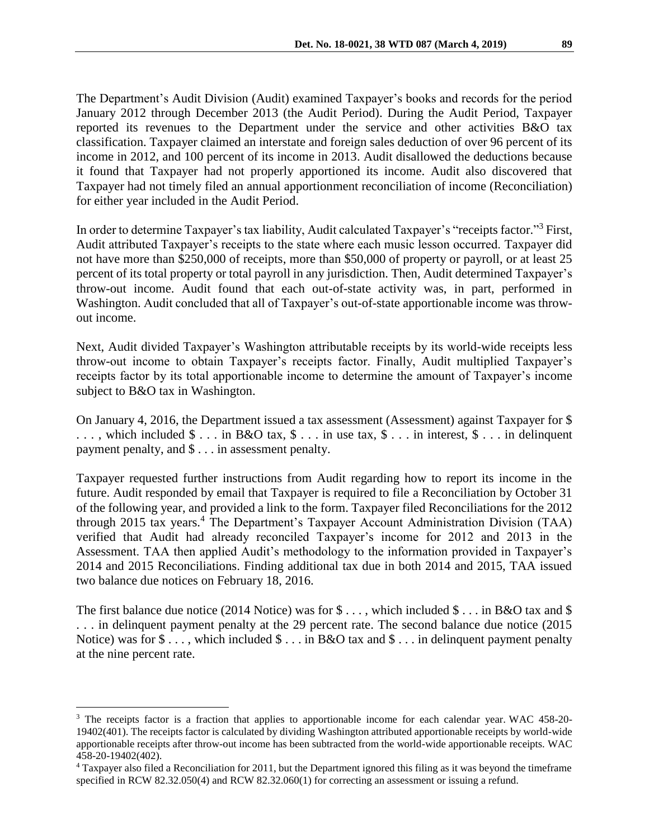The Department's Audit Division (Audit) examined Taxpayer's books and records for the period January 2012 through December 2013 (the Audit Period). During the Audit Period, Taxpayer reported its revenues to the Department under the service and other activities B&O tax classification. Taxpayer claimed an interstate and foreign sales deduction of over 96 percent of its income in 2012, and 100 percent of its income in 2013. Audit disallowed the deductions because it found that Taxpayer had not properly apportioned its income. Audit also discovered that Taxpayer had not timely filed an annual apportionment reconciliation of income (Reconciliation) for either year included in the Audit Period.

In order to determine Taxpayer's tax liability, Audit calculated Taxpayer's "receipts factor."<sup>3</sup> First, Audit attributed Taxpayer's receipts to the state where each music lesson occurred. Taxpayer did not have more than \$250,000 of receipts, more than \$50,000 of property or payroll, or at least 25 percent of its total property or total payroll in any jurisdiction. Then, Audit determined Taxpayer's throw-out income. Audit found that each out-of-state activity was, in part, performed in Washington. Audit concluded that all of Taxpayer's out-of-state apportionable income was throwout income.

Next, Audit divided Taxpayer's Washington attributable receipts by its world-wide receipts less throw-out income to obtain Taxpayer's receipts factor. Finally, Audit multiplied Taxpayer's receipts factor by its total apportionable income to determine the amount of Taxpayer's income subject to B&O tax in Washington.

On January 4, 2016, the Department issued a tax assessment (Assessment) against Taxpayer for \$ ..., which included  $\$ \dots$  in B&O tax,  $\$ \dots$  in use tax,  $\$ \dots$  in interest,  $\$ \dots$  in delinquent payment penalty, and \$ . . . in assessment penalty.

Taxpayer requested further instructions from Audit regarding how to report its income in the future. Audit responded by email that Taxpayer is required to file a Reconciliation by October 31 of the following year, and provided a link to the form. Taxpayer filed Reconciliations for the 2012 through 2015 tax years.<sup>4</sup> The Department's Taxpayer Account Administration Division (TAA) verified that Audit had already reconciled Taxpayer's income for 2012 and 2013 in the Assessment. TAA then applied Audit's methodology to the information provided in Taxpayer's 2014 and 2015 Reconciliations. Finding additional tax due in both 2014 and 2015, TAA issued two balance due notices on February 18, 2016.

The first balance due notice (2014 Notice) was for  $\$\dots$ , which included  $\$\dots$  in B&O tax and  $\$$ . . . in delinquent payment penalty at the 29 percent rate. The second balance due notice (2015 Notice) was for  $\$\dots$ , which included  $\$\dots$  in B&O tax and  $\$\dots$  in delinquent payment penalty at the nine percent rate.

 $\overline{a}$ 

<sup>&</sup>lt;sup>3</sup> The receipts factor is a fraction that applies to apportionable income for each calendar year. WAC 458-20-19402(401). The receipts factor is calculated by dividing Washington attributed apportionable receipts by world-wide apportionable receipts after throw-out income has been subtracted from the world-wide apportionable receipts. WAC 458-20-19402(402).

<sup>4</sup> Taxpayer also filed a Reconciliation for 2011, but the Department ignored this filing as it was beyond the timeframe specified in RCW 82.32.050(4) and RCW 82.32.060(1) for correcting an assessment or issuing a refund.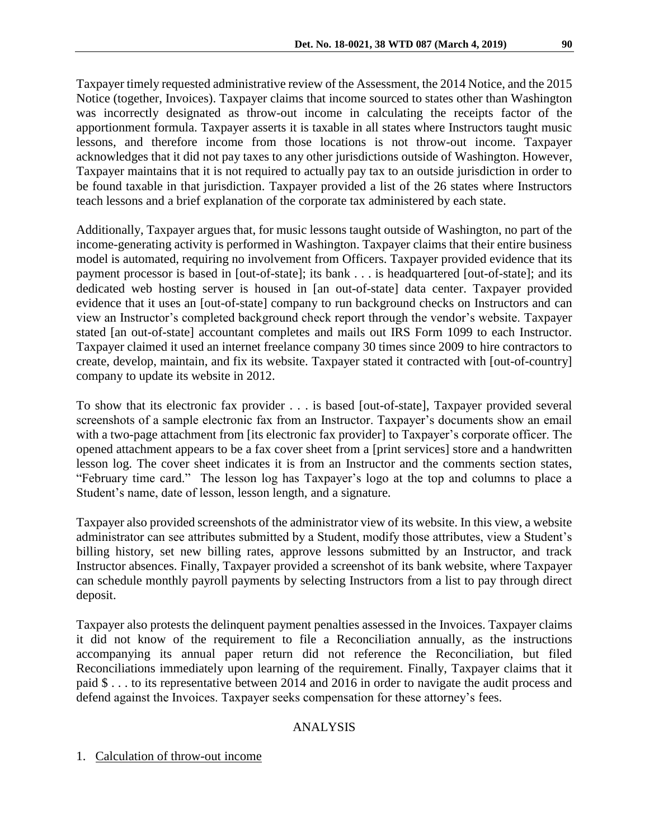Taxpayer timely requested administrative review of the Assessment, the 2014 Notice, and the 2015 Notice (together, Invoices). Taxpayer claims that income sourced to states other than Washington was incorrectly designated as throw-out income in calculating the receipts factor of the apportionment formula. Taxpayer asserts it is taxable in all states where Instructors taught music lessons, and therefore income from those locations is not throw-out income. Taxpayer acknowledges that it did not pay taxes to any other jurisdictions outside of Washington. However, Taxpayer maintains that it is not required to actually pay tax to an outside jurisdiction in order to be found taxable in that jurisdiction. Taxpayer provided a list of the 26 states where Instructors teach lessons and a brief explanation of the corporate tax administered by each state.

Additionally, Taxpayer argues that, for music lessons taught outside of Washington, no part of the income-generating activity is performed in Washington. Taxpayer claims that their entire business model is automated, requiring no involvement from Officers. Taxpayer provided evidence that its payment processor is based in [out-of-state]; its bank . . . is headquartered [out-of-state]; and its dedicated web hosting server is housed in [an out-of-state] data center. Taxpayer provided evidence that it uses an [out-of-state] company to run background checks on Instructors and can view an Instructor's completed background check report through the vendor's website. Taxpayer stated [an out-of-state] accountant completes and mails out IRS Form 1099 to each Instructor. Taxpayer claimed it used an internet freelance company 30 times since 2009 to hire contractors to create, develop, maintain, and fix its website. Taxpayer stated it contracted with [out-of-country] company to update its website in 2012.

To show that its electronic fax provider . . . is based [out-of-state], Taxpayer provided several screenshots of a sample electronic fax from an Instructor. Taxpayer's documents show an email with a two-page attachment from [its electronic fax provider] to Taxpayer's corporate officer. The opened attachment appears to be a fax cover sheet from a [print services] store and a handwritten lesson log. The cover sheet indicates it is from an Instructor and the comments section states, "February time card." The lesson log has Taxpayer's logo at the top and columns to place a Student's name, date of lesson, lesson length, and a signature.

Taxpayer also provided screenshots of the administrator view of its website. In this view, a website administrator can see attributes submitted by a Student, modify those attributes, view a Student's billing history, set new billing rates, approve lessons submitted by an Instructor, and track Instructor absences. Finally, Taxpayer provided a screenshot of its bank website, where Taxpayer can schedule monthly payroll payments by selecting Instructors from a list to pay through direct deposit.

Taxpayer also protests the delinquent payment penalties assessed in the Invoices. Taxpayer claims it did not know of the requirement to file a Reconciliation annually, as the instructions accompanying its annual paper return did not reference the Reconciliation, but filed Reconciliations immediately upon learning of the requirement. Finally, Taxpayer claims that it paid \$ . . . to its representative between 2014 and 2016 in order to navigate the audit process and defend against the Invoices. Taxpayer seeks compensation for these attorney's fees.

# ANALYSIS

#### 1. Calculation of throw-out income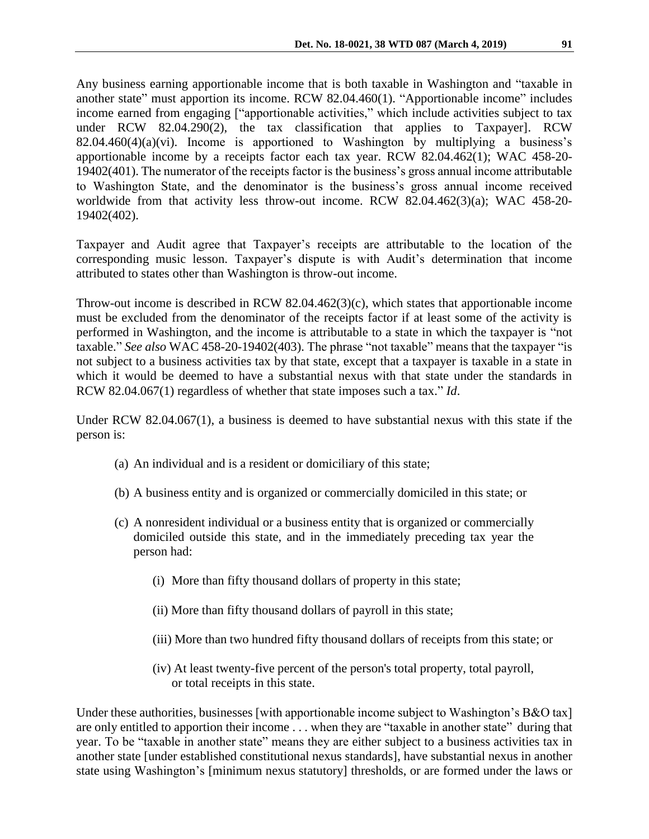Any business earning apportionable income that is both taxable in Washington and "taxable in another state" must apportion its income. RCW 82.04.460(1). "Apportionable income" includes income earned from engaging ["apportionable activities," which include activities subject to tax under RCW 82.04.290(2), the tax classification that applies to Taxpayer]. RCW  $82.04.460(4)(a)(vi)$ . Income is apportioned to Washington by multiplying a business's apportionable income by a receipts factor each tax year. RCW 82.04.462(1); WAC 458-20- 19402(401). The numerator of the receipts factor is the business's gross annual income attributable to Washington State, and the denominator is the business's gross annual income received worldwide from that activity less throw-out income. RCW 82.04.462(3)(a); WAC 458-20- 19402(402).

Taxpayer and Audit agree that Taxpayer's receipts are attributable to the location of the corresponding music lesson. Taxpayer's dispute is with Audit's determination that income attributed to states other than Washington is throw-out income.

Throw-out income is described in RCW 82.04.462(3)(c), which states that apportionable income must be excluded from the denominator of the receipts factor if at least some of the activity is performed in Washington, and the income is attributable to a state in which the taxpayer is "not taxable." *See also* WAC 458-20-19402(403). The phrase "not taxable" means that the taxpayer "is not subject to a business activities tax by that state, except that a taxpayer is taxable in a state in which it would be deemed to have a substantial nexus with that state under the standards in RCW 82.04.067(1) regardless of whether that state imposes such a tax." *Id*.

Under RCW 82.04.067(1), a business is deemed to have substantial nexus with this state if the person is:

- (a) An individual and is a resident or domiciliary of this state;
- (b) A business entity and is organized or commercially domiciled in this state; or
- (c) A nonresident individual or a business entity that is organized or commercially domiciled outside this state, and in the immediately preceding tax year the person had:
	- (i) More than fifty thousand dollars of property in this state;
	- (ii) More than fifty thousand dollars of payroll in this state;
	- (iii) More than two hundred fifty thousand dollars of receipts from this state; or
	- (iv) At least twenty-five percent of the person's total property, total payroll, or total receipts in this state.

Under these authorities, businesses [with apportionable income subject to Washington's B&O tax] are only entitled to apportion their income . . . when they are "taxable in another state" during that year. To be "taxable in another state" means they are either subject to a business activities tax in another state [under established constitutional nexus standards], have substantial nexus in another state using Washington's [minimum nexus statutory] thresholds, or are formed under the laws or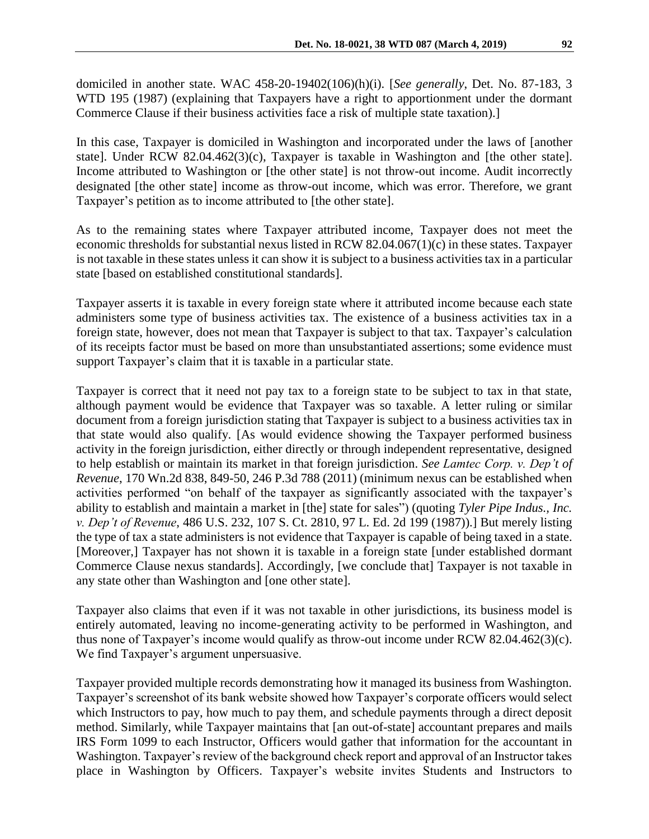domiciled in another state. WAC 458-20-19402(106)(h)(i). [*See generally*, Det. No. 87-183, 3 WTD 195 (1987) (explaining that Taxpayers have a right to apportionment under the dormant Commerce Clause if their business activities face a risk of multiple state taxation).]

In this case, Taxpayer is domiciled in Washington and incorporated under the laws of [another state]. Under RCW 82.04.462(3)(c), Taxpayer is taxable in Washington and [the other state]. Income attributed to Washington or [the other state] is not throw-out income. Audit incorrectly designated [the other state] income as throw-out income, which was error. Therefore, we grant Taxpayer's petition as to income attributed to [the other state].

As to the remaining states where Taxpayer attributed income, Taxpayer does not meet the economic thresholds for substantial nexus listed in RCW 82.04.067(1)(c) in these states. Taxpayer is not taxable in these states unless it can show it is subject to a business activities tax in a particular state [based on established constitutional standards].

Taxpayer asserts it is taxable in every foreign state where it attributed income because each state administers some type of business activities tax. The existence of a business activities tax in a foreign state, however, does not mean that Taxpayer is subject to that tax. Taxpayer's calculation of its receipts factor must be based on more than unsubstantiated assertions; some evidence must support Taxpayer's claim that it is taxable in a particular state.

Taxpayer is correct that it need not pay tax to a foreign state to be subject to tax in that state, although payment would be evidence that Taxpayer was so taxable. A letter ruling or similar document from a foreign jurisdiction stating that Taxpayer is subject to a business activities tax in that state would also qualify. [As would evidence showing the Taxpayer performed business activity in the foreign jurisdiction, either directly or through independent representative, designed to help establish or maintain its market in that foreign jurisdiction. *See Lamtec Corp. v. Dep't of Revenue*, 170 Wn.2d 838, 849-50, 246 P.3d 788 (2011) (minimum nexus can be established when activities performed "on behalf of the taxpayer as significantly associated with the taxpayer's ability to establish and maintain a market in [the] state for sales") (quoting *Tyler Pipe Indus., Inc. v. Dep't of Revenue*, 486 U.S. 232, 107 S. Ct. 2810, 97 L. Ed. 2d 199 (1987)).] But merely listing the type of tax a state administers is not evidence that Taxpayer is capable of being taxed in a state. [Moreover,] Taxpayer has not shown it is taxable in a foreign state [under established dormant Commerce Clause nexus standards]. Accordingly, [we conclude that] Taxpayer is not taxable in any state other than Washington and [one other state].

Taxpayer also claims that even if it was not taxable in other jurisdictions, its business model is entirely automated, leaving no income-generating activity to be performed in Washington, and thus none of Taxpayer's income would qualify as throw-out income under RCW 82.04.462(3)(c). We find Taxpayer's argument unpersuasive.

Taxpayer provided multiple records demonstrating how it managed its business from Washington. Taxpayer's screenshot of its bank website showed how Taxpayer's corporate officers would select which Instructors to pay, how much to pay them, and schedule payments through a direct deposit method. Similarly, while Taxpayer maintains that [an out-of-state] accountant prepares and mails IRS Form 1099 to each Instructor, Officers would gather that information for the accountant in Washington. Taxpayer's review of the background check report and approval of an Instructor takes place in Washington by Officers. Taxpayer's website invites Students and Instructors to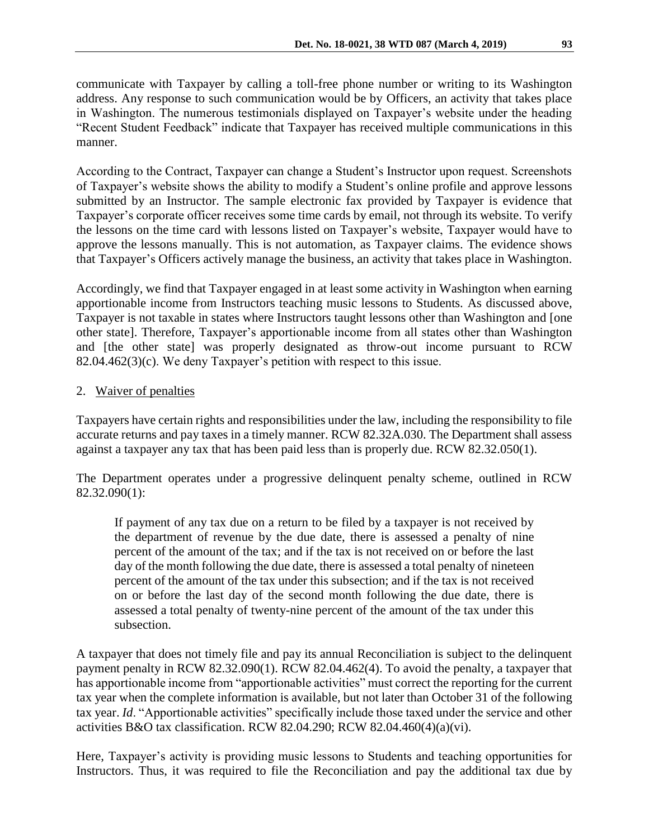communicate with Taxpayer by calling a toll-free phone number or writing to its Washington address. Any response to such communication would be by Officers, an activity that takes place in Washington. The numerous testimonials displayed on Taxpayer's website under the heading "Recent Student Feedback" indicate that Taxpayer has received multiple communications in this manner.

According to the Contract, Taxpayer can change a Student's Instructor upon request. Screenshots of Taxpayer's website shows the ability to modify a Student's online profile and approve lessons submitted by an Instructor. The sample electronic fax provided by Taxpayer is evidence that Taxpayer's corporate officer receives some time cards by email, not through its website. To verify the lessons on the time card with lessons listed on Taxpayer's website, Taxpayer would have to approve the lessons manually. This is not automation, as Taxpayer claims. The evidence shows that Taxpayer's Officers actively manage the business, an activity that takes place in Washington.

Accordingly, we find that Taxpayer engaged in at least some activity in Washington when earning apportionable income from Instructors teaching music lessons to Students. As discussed above, Taxpayer is not taxable in states where Instructors taught lessons other than Washington and [one other state]. Therefore, Taxpayer's apportionable income from all states other than Washington and [the other state] was properly designated as throw-out income pursuant to RCW 82.04.462(3)(c). We deny Taxpayer's petition with respect to this issue.

## 2. Waiver of penalties

Taxpayers have certain rights and responsibilities under the law, including the responsibility to file accurate returns and pay taxes in a timely manner. RCW 82.32A.030. The Department shall assess against a taxpayer any tax that has been paid less than is properly due. RCW 82.32.050(1).

The Department operates under a progressive delinquent penalty scheme, outlined in RCW 82.32.090(1):

If payment of any tax due on a return to be filed by a taxpayer is not received by the department of revenue by the due date, there is assessed a penalty of nine percent of the amount of the tax; and if the tax is not received on or before the last day of the month following the due date, there is assessed a total penalty of nineteen percent of the amount of the tax under this subsection; and if the tax is not received on or before the last day of the second month following the due date, there is assessed a total penalty of twenty-nine percent of the amount of the tax under this subsection.

A taxpayer that does not timely file and pay its annual Reconciliation is subject to the delinquent payment penalty in RCW 82.32.090(1). RCW 82.04.462(4). To avoid the penalty, a taxpayer that has apportionable income from "apportionable activities" must correct the reporting for the current tax year when the complete information is available, but not later than October 31 of the following tax year. *Id*. "Apportionable activities" specifically include those taxed under the service and other activities B&O tax classification. RCW 82.04.290; RCW 82.04.460 $(4)(a)(vi)$ .

Here, Taxpayer's activity is providing music lessons to Students and teaching opportunities for Instructors. Thus, it was required to file the Reconciliation and pay the additional tax due by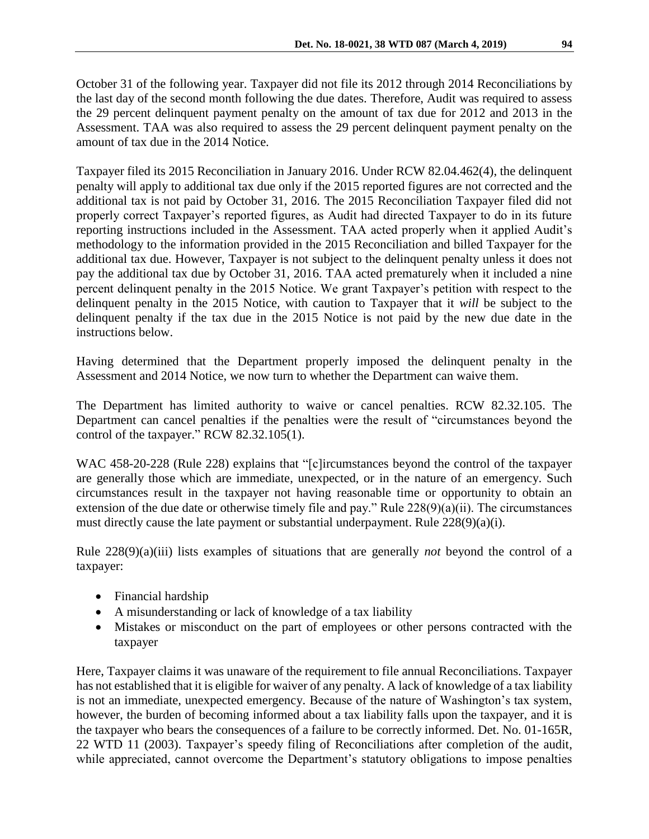October 31 of the following year. Taxpayer did not file its 2012 through 2014 Reconciliations by the last day of the second month following the due dates. Therefore, Audit was required to assess the 29 percent delinquent payment penalty on the amount of tax due for 2012 and 2013 in the Assessment. TAA was also required to assess the 29 percent delinquent payment penalty on the amount of tax due in the 2014 Notice.

Taxpayer filed its 2015 Reconciliation in January 2016. Under RCW 82.04.462(4), the delinquent penalty will apply to additional tax due only if the 2015 reported figures are not corrected and the additional tax is not paid by October 31, 2016. The 2015 Reconciliation Taxpayer filed did not properly correct Taxpayer's reported figures, as Audit had directed Taxpayer to do in its future reporting instructions included in the Assessment. TAA acted properly when it applied Audit's methodology to the information provided in the 2015 Reconciliation and billed Taxpayer for the additional tax due. However, Taxpayer is not subject to the delinquent penalty unless it does not pay the additional tax due by October 31, 2016. TAA acted prematurely when it included a nine percent delinquent penalty in the 2015 Notice. We grant Taxpayer's petition with respect to the delinquent penalty in the 2015 Notice, with caution to Taxpayer that it *will* be subject to the delinquent penalty if the tax due in the 2015 Notice is not paid by the new due date in the instructions below.

Having determined that the Department properly imposed the delinquent penalty in the Assessment and 2014 Notice, we now turn to whether the Department can waive them.

The Department has limited authority to waive or cancel penalties. RCW 82.32.105. The Department can cancel penalties if the penalties were the result of "circumstances beyond the control of the taxpayer." RCW 82.32.105(1).

WAC 458-20-228 (Rule 228) explains that "[c]ircumstances beyond the control of the taxpayer are generally those which are immediate, unexpected, or in the nature of an emergency. Such circumstances result in the taxpayer not having reasonable time or opportunity to obtain an extension of the due date or otherwise timely file and pay." Rule 228(9)(a)(ii). The circumstances must directly cause the late payment or substantial underpayment. Rule 228(9)(a)(i).

Rule 228(9)(a)(iii) lists examples of situations that are generally *not* beyond the control of a taxpayer:

- Financial hardship
- A misunderstanding or lack of knowledge of a tax liability
- Mistakes or misconduct on the part of employees or other persons contracted with the taxpayer

Here, Taxpayer claims it was unaware of the requirement to file annual Reconciliations. Taxpayer has not established that it is eligible for waiver of any penalty. A lack of knowledge of a tax liability is not an immediate, unexpected emergency. Because of the nature of Washington's tax system, however, the burden of becoming informed about a tax liability falls upon the taxpayer, and it is the taxpayer who bears the consequences of a failure to be correctly informed. Det. No. 01-165R, 22 WTD 11 (2003). Taxpayer's speedy filing of Reconciliations after completion of the audit, while appreciated, cannot overcome the Department's statutory obligations to impose penalties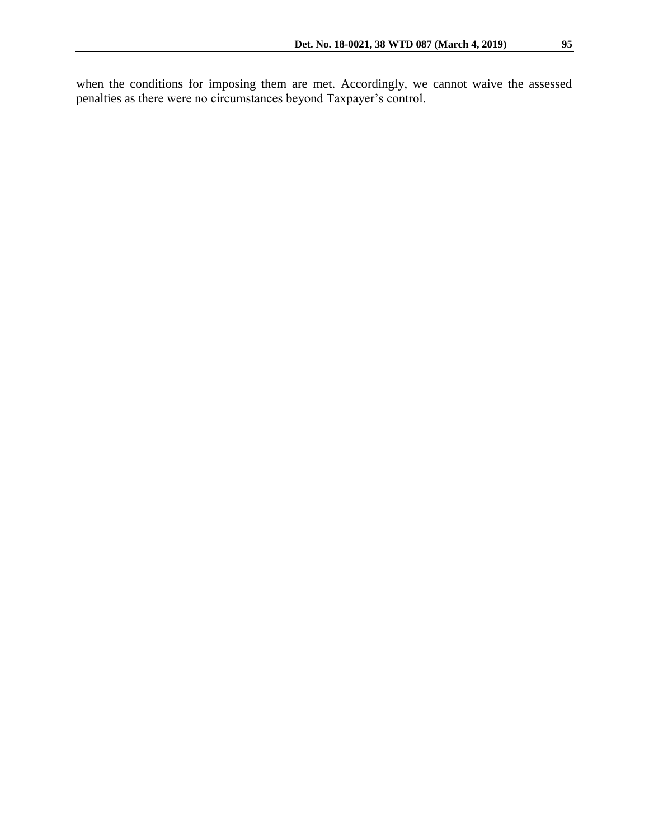when the conditions for imposing them are met. Accordingly, we cannot waive the assessed penalties as there were no circumstances beyond Taxpayer's control.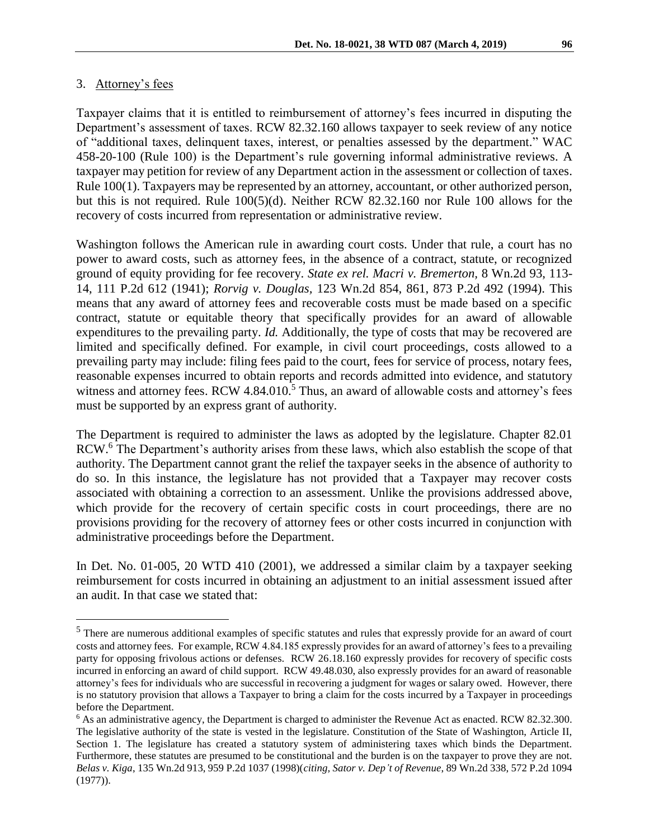# 3. Attorney's fees

 $\overline{a}$ 

Taxpayer claims that it is entitled to reimbursement of attorney's fees incurred in disputing the Department's assessment of taxes. RCW 82.32.160 allows taxpayer to seek review of any notice of "additional taxes, delinquent taxes, interest, or penalties assessed by the department." WAC 458-20-100 (Rule 100) is the Department's rule governing informal administrative reviews. A taxpayer may petition for review of any Department action in the assessment or collection of taxes. Rule 100(1). Taxpayers may be represented by an attorney, accountant, or other authorized person, but this is not required. Rule 100(5)(d). Neither RCW 82.32.160 nor Rule 100 allows for the recovery of costs incurred from representation or administrative review.

Washington follows the American rule in awarding court costs. Under that rule, a court has no power to award costs, such as attorney fees, in the absence of a contract, statute, or recognized ground of equity providing for fee recovery. *State ex rel. Macri v. Bremerton,* 8 Wn.2d 93, 113- 14, 111 P.2d 612 (1941); *Rorvig v. Douglas,* 123 Wn.2d 854, 861, 873 P.2d 492 (1994). This means that any award of attorney fees and recoverable costs must be made based on a specific contract, statute or equitable theory that specifically provides for an award of allowable expenditures to the prevailing party. *Id.* Additionally, the type of costs that may be recovered are limited and specifically defined. For example, in civil court proceedings, costs allowed to a prevailing party may include: filing fees paid to the court, fees for service of process, notary fees, reasonable expenses incurred to obtain reports and records admitted into evidence, and statutory witness and attorney fees. RCW 4.84.010.<sup>5</sup> Thus, an award of allowable costs and attorney's fees must be supported by an express grant of authority.

The Department is required to administer the laws as adopted by the legislature. Chapter 82.01 RCW.<sup>6</sup> The Department's authority arises from these laws, which also establish the scope of that authority. The Department cannot grant the relief the taxpayer seeks in the absence of authority to do so. In this instance, the legislature has not provided that a Taxpayer may recover costs associated with obtaining a correction to an assessment. Unlike the provisions addressed above, which provide for the recovery of certain specific costs in court proceedings, there are no provisions providing for the recovery of attorney fees or other costs incurred in conjunction with administrative proceedings before the Department.

In Det. No. 01-005, 20 WTD 410 (2001), we addressed a similar claim by a taxpayer seeking reimbursement for costs incurred in obtaining an adjustment to an initial assessment issued after an audit. In that case we stated that:

<sup>&</sup>lt;sup>5</sup> There are numerous additional examples of specific statutes and rules that expressly provide for an award of court costs and attorney fees. For example, RCW 4.84.185 expressly provides for an award of attorney's fees to a prevailing party for opposing frivolous actions or defenses. RCW 26.18.160 expressly provides for recovery of specific costs incurred in enforcing an award of child support. RCW 49.48.030, also expressly provides for an award of reasonable attorney's fees for individuals who are successful in recovering a judgment for wages or salary owed. However, there is no statutory provision that allows a Taxpayer to bring a claim for the costs incurred by a Taxpayer in proceedings before the Department.

<sup>6</sup> As an administrative agency, the Department is charged to administer the Revenue Act as enacted. RCW 82.32.300. The legislative authority of the state is vested in the legislature. Constitution of the State of Washington, Article II, Section 1. The legislature has created a statutory system of administering taxes which binds the Department. Furthermore, these statutes are presumed to be constitutional and the burden is on the taxpayer to prove they are not. *Belas v. Kiga*, 135 Wn.2d 913, 959 P.2d 1037 (1998)(*citing, Sator v. Dep't of Revenue*, 89 Wn.2d 338, 572 P.2d 1094 (1977)).